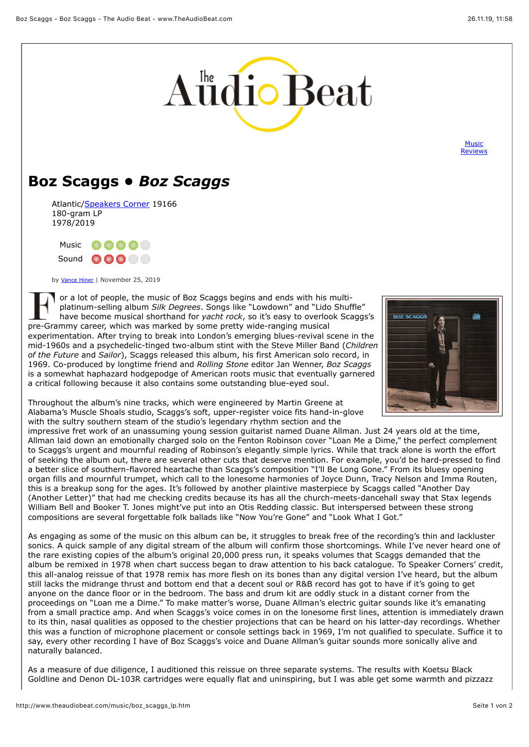

**Music** [Reviews](http://www.theaudiobeat.com/music.htm)

## **Boz Scaggs •** *Boz Scaggs*

Atlantic[/Speakers Corner](http://www.speakerscornerrecords.com/) 19166 180-gram LP 1978/2019



by [Vance Hiner](mailto:vance@theaudiobeat.com) | November 25, 2019

or a lot of people, the music of Boz Scaggs begins and ends with his multiplatinum-selling album *Silk Degrees*. Songs like "Lowdown" and "Lido Shuffle" have become musical shorthand for *yacht rock*, so it's easy to overlook Scaggs's pre-Grammy career, which was marked by some pretty wide-ranging musical experimentation. After trying to break into London's emerging blues-revival scene in the mid-1960s and a psychedelic-tinged two-album stint with the Steve Miller Band (*Children of the Future* and *Sailor*), Scaggs released this album, his first American solo record, in 1969. Co-produced by longtime friend and *Rolling Stone* editor Jan Wenner, *Boz Scaggs* is a somewhat haphazard hodgepodge of American roots music that eventually garnered a critical following because it also contains some outstanding blue-eyed soul.



Throughout the album's nine tracks, which were engineered by Martin Greene at Alabama's Muscle Shoals studio, Scaggs's soft, upper-register voice fits hand-in-glove with the sultry southern steam of the studio's legendary rhythm section and the

impressive fret work of an unassuming young session guitarist named Duane Allman. Just 24 years old at the time, Allman laid down an emotionally charged solo on the Fenton Robinson cover "Loan Me a Dime," the perfect complement to Scaggs's urgent and mournful reading of Robinson's elegantly simple lyrics. While that track alone is worth the effort of seeking the album out, there are several other cuts that deserve mention. For example, you'd be hard-pressed to find a better slice of southern-flavored heartache than Scaggs's composition "I'll Be Long Gone." From its bluesy opening organ fills and mournful trumpet, which call to the lonesome harmonies of Joyce Dunn, Tracy Nelson and Imma Routen, this is a breakup song for the ages. It's followed by another plaintive masterpiece by Scaggs called "Another Day (Another Letter)" that had me checking credits because its has all the church-meets-dancehall sway that Stax legends William Bell and Booker T. Jones might've put into an Otis Redding classic. But interspersed between these strong compositions are several forgettable folk ballads like "Now You're Gone" and "Look What I Got."

As engaging as some of the music on this album can be, it struggles to break free of the recording's thin and lackluster sonics. A quick sample of any digital stream of the album will confirm those shortcomings. While I've never heard one of the rare existing copies of the album's original 20,000 press run, it speaks volumes that Scaggs demanded that the album be remixed in 1978 when chart success began to draw attention to his back catalogue. To Speaker Corners' credit, this all-analog reissue of that 1978 remix has more flesh on its bones than any digital version I've heard, but the album still lacks the midrange thrust and bottom end that a decent soul or R&B record has got to have if it's going to get anyone on the dance floor or in the bedroom. The bass and drum kit are oddly stuck in a distant corner from the proceedings on "Loan me a Dime." To make matter's worse, Duane Allman's electric guitar sounds like it's emanating from a small practice amp. And when Scaggs's voice comes in on the lonesome first lines, attention is immediately drawn to its thin, nasal qualities as opposed to the chestier projections that can be heard on his latter-day recordings. Whether this was a function of microphone placement or console settings back in 1969, I'm not qualified to speculate. Suffice it to say, every other recording I have of Boz Scaggs's voice and Duane Allman's guitar sounds more sonically alive and naturally balanced.

As a measure of due diligence, I auditioned this reissue on three separate systems. The results with Koetsu Black Goldline and Denon DL-103R cartridges were equally flat and uninspiring, but I was able get some warmth and pizzazz